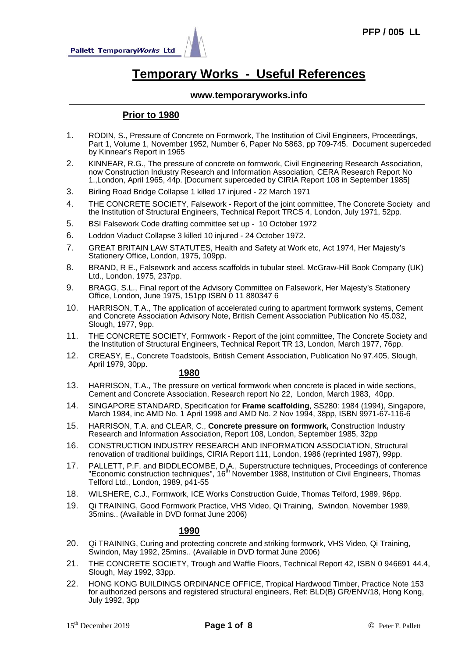

# **Temporary Works - Useful References**

### **www.temporaryworks.info**

# **Prior to 1980**

- 1. RODIN, S., Pressure of Concrete on Formwork, The Institution of Civil Engineers, Proceedings, Part 1, Volume 1, November 1952, Number 6, Paper No 5863, pp 709-745. Document superceded by Kinnear's Report in 1965
- 2. KINNEAR, R.G., The pressure of concrete on formwork, Civil Engineering Research Association, now Construction Industry Research and Information Association, CERA Research Report No 1.,London, April 1965, 44p. [Document superceded by CIRIA Report 108 in September 1985]
- 3. Birling Road Bridge Collapse 1 killed 17 injured 22 March 1971
- 4. THE CONCRETE SOCIETY, Falsework Report of the joint committee, The Concrete Society and the Institution of Structural Engineers, Technical Report TRCS 4, London, July 1971, 52pp.
- 5. BSI Falsework Code drafting committee set up 10 October 1972
- 6. Loddon Viaduct Collapse 3 killed 10 injured 24 October 1972.
- 7. GREAT BRITAIN LAW STATUTES, Health and Safety at Work etc, Act 1974, Her Majesty's Stationery Office, London, 1975, 109pp.
- 8. BRAND, R E., Falsework and access scaffolds in tubular steel. McGraw-Hill Book Company (UK) Ltd., London, 1975, 237pp.
- 9. BRAGG, S.L., Final report of the Advisory Committee on Falsework, Her Majesty's Stationery Office, London, June 1975, 151pp ISBN 0 11 880347 6
- 10. HARRISON, T.A., The application of accelerated curing to apartment formwork systems, Cement and Concrete Association Advisory Note, British Cement Association Publication No 45.032, Slough, 1977, 9pp.
- 11. THE CONCRETE SOCIETY, Formwork Report of the joint committee, The Concrete Society and the Institution of Structural Engineers, Technical Report TR 13, London, March 1977, 76pp.
- 12. CREASY, E., Concrete Toadstools, British Cement Association, Publication No 97.405, Slough, April 1979, 30pp.

# **1980**

- 13. HARRISON, T.A., The pressure on vertical formwork when concrete is placed in wide sections, Cement and Concrete Association, Research report No 22, London, March 1983, 40pp.
- 14. SINGAPORE STANDARD, Specification for **Frame scaffolding**, SS280: 1984 (1994), Singapore, March 1984, inc AMD No. 1 April 1998 and AMD No. 2 Nov 1994, 38pp, ISBN 9971-67-116-6
- 15. HARRISON, T.A. and CLEAR, C., **Concrete pressure on formwork,** Construction Industry Research and Information Association, Report 108, London, September 1985, 32pp
- 16. CONSTRUCTION INDUSTRY RESEARCH AND INFORMATION ASSOCIATION, Structural renovation of traditional buildings, CIRIA Report 111, London, 1986 (reprinted 1987), 99pp.
- 17. PALLETT, P.F. and BIDDLECOMBE, D.A., Superstructure techniques, Proceedings of conference "Economic construction techniques", 16<sup>th</sup> November 1988, Institution of Civil Engineers, Thomas Telford Ltd., London, 1989, p41-55
- 18. WILSHERE, C.J., Formwork, ICE Works Construction Guide, Thomas Telford, 1989, 96pp.
- 19. Qi TRAINING, Good Formwork Practice, VHS Video, Qi Training, Swindon, November 1989, 35mins.. (Available in DVD format June 2006)

- 20. Qi TRAINING, Curing and protecting concrete and striking formwork, VHS Video, Qi Training, Swindon, May 1992, 25mins.. (Available in DVD format June 2006)
- 21. THE CONCRETE SOCIETY, Trough and Waffle Floors, Technical Report 42, ISBN 0 946691 44.4, Slough, May 1992, 33pp.
- 22. HONG KONG BUILDINGS ORDINANCE OFFICE, Tropical Hardwood Timber, Practice Note 153 for authorized persons and registered structural engineers, Ref: BLD(B) GR/ENV/18, Hong Kong, July 1992, 3pp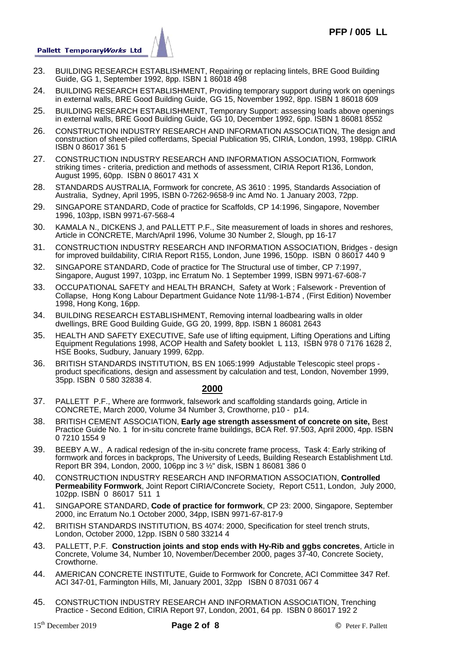

- 23. BUILDING RESEARCH ESTABLISHMENT, Repairing or replacing lintels, BRE Good Building Guide, GG 1, September 1992, 8pp. ISBN 1 86018 498
- 24. BUILDING RESEARCH ESTABLISHMENT, Providing temporary support during work on openings in external walls, BRE Good Building Guide, GG 15, November 1992, 8pp. ISBN 1 86018 609
- 25. BUILDING RESEARCH ESTABLISHMENT, Temporary Support: assessing loads above openings in external walls, BRE Good Building Guide, GG 10, December 1992, 6pp. ISBN 1 86081 8552
- 26. CONSTRUCTION INDUSTRY RESEARCH AND INFORMATION ASSOCIATION, The design and construction of sheet-piled cofferdams, Special Publication 95, CIRIA, London, 1993, 198pp. CIRIA ISBN 0 86017 361 5
- 27. CONSTRUCTION INDUSTRY RESEARCH AND INFORMATION ASSOCIATION, Formwork striking times - criteria, prediction and methods of assessment, CIRIA Report R136, London, August 1995, 60pp. ISBN 0 86017 431 X
- 28. STANDARDS AUSTRALIA, Formwork for concrete, AS 3610 : 1995, Standards Association of Australia, Sydney, April 1995, ISBN 0-7262-9658-9 inc Amd No. 1 January 2003, 72pp.
- 29. SINGAPORE STANDARD, Code of practice for Scaffolds, CP 14:1996, Singapore, November 1996, 103pp, ISBN 9971-67-568-4
- 30. KAMALA N., DICKENS J, and PALLETT P.F., Site measurement of loads in shores and reshores, Article in CONCRETE, March/April 1996, Volume 30 Number 2, Slough, pp 16-17
- 31. CONSTRUCTION INDUSTRY RESEARCH AND INFORMATION ASSOCIATION, Bridges design for improved buildability, CIRIA Report R155, London, June 1996, 150pp. ISBN 0 86017 440 9
- 32. SINGAPORE STANDARD, Code of practice for The Structural use of timber, CP 7:1997, Singapore, August 1997, 103pp, inc Erratum No. 1 September 1999, ISBN 9971-67-608-7
- 33. OCCUPATIONAL SAFETY and HEALTH BRANCH, Safety at Work ; Falsework Prevention of Collapse, Hong Kong Labour Department Guidance Note 11/98-1-B74 , (First Edition) November 1998, Hong Kong, 16pp.
- 34. BUILDING RESEARCH ESTABLISHMENT, Removing internal loadbearing walls in older dwellings, BRE Good Building Guide, GG 20, 1999, 8pp. ISBN 1 86081 2643
- 35. HEALTH AND SAFETY EXECUTIVE, Safe use of lifting equipment, Lifting Operations and Lifting Equipment Regulations 1998, ACOP Health and Safety booklet L 113, ISBN 978 0 7176 1628 2, HSE Books, Sudbury, January 1999, 62pp.
- 36. BRITISH STANDARDS INSTITUTION, BS EN 1065:1999 Adjustable Telescopic steel props product specifications, design and assessment by calculation and test, London, November 1999, 35pp. ISBN 0 580 32838 4.

- 37. PALLETT P.F., Where are formwork, falsework and scaffolding standards going, Article in CONCRETE, March 2000, Volume 34 Number 3, Crowthorne, p10 - p14.
- 38. BRITISH CEMENT ASSOCIATION, **Early age strength assessment of concrete on site,** Best Practice Guide No. 1 for in-situ concrete frame buildings, BCA Ref. 97.503, April 2000, 4pp. ISBN 0 7210 1554 9
- 39. BEEBY A.W., A radical redesign of the in-situ concrete frame process, Task 4: Early striking of formwork and forces in backprops, The University of Leeds, Building Research Establishment Ltd. Report BR 394, London, 2000, 106pp inc 3 ½" disk, ISBN 1 86081 386 0
- 40. CONSTRUCTION INDUSTRY RESEARCH AND INFORMATION ASSOCIATION, **Controlled Permeability Formwork**, Joint Report CIRIA/Concrete Society, Report C511, London, July 2000, 102pp. ISBN 0 86017 511 1
- 41. SINGAPORE STANDARD, **Code of practice for formwork**, CP 23: 2000, Singapore, September 2000, inc Erratum No.1 October 2000, 34pp, ISBN 9971-67-817-9
- 42. BRITISH STANDARDS INSTITUTION, BS 4074: 2000, Specification for steel trench struts, London, October 2000, 12pp. ISBN 0 580 33214 4
- 43. PALLETT, P.F. **Construction joints and stop ends with Hy-Rib and ggbs concretes**, Article in Concrete, Volume 34, Number 10, November/December 2000, pages 37-40, Concrete Society, Crowthorne.
- 44. AMERICAN CONCRETE INSTITUTE, Guide to Formwork for Concrete, ACI Committee 347 Ref. ACI 347-01, Farmington Hills, MI, January 2001, 32pp ISBN 0 87031 067 4
- 45. CONSTRUCTION INDUSTRY RESEARCH AND INFORMATION ASSOCIATION, Trenching Practice - Second Edition, CIRIA Report 97, London, 2001, 64 pp. ISBN 0 86017 192 2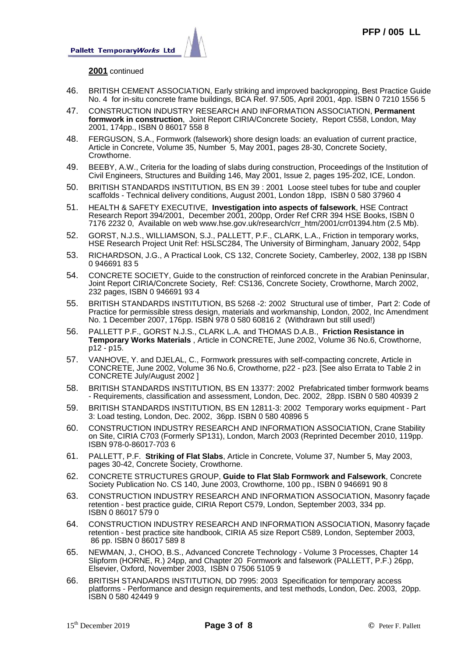

#### **2001** continued

- 46. BRITISH CEMENT ASSOCIATION, Early striking and improved backpropping, Best Practice Guide No. 4 for in-situ concrete frame buildings, BCA Ref. 97.505, April 2001, 4pp. ISBN 0 7210 1556 5
- 47. CONSTRUCTION INDUSTRY RESEARCH AND INFORMATION ASSOCIATION, **Permanent formwork in construction**, Joint Report CIRIA/Concrete Society, Report C558, London, May 2001, 174pp., ISBN 0 86017 558 8
- 48. FERGUSON, S.A., Formwork (falsework) shore design loads: an evaluation of current practice, Article in Concrete, Volume 35, Number 5, May 2001, pages 28-30, Concrete Society, Crowthorne.
- 49. BEEBY, A.W., Criteria for the loading of slabs during construction, Proceedings of the Institution of Civil Engineers, Structures and Building 146, May 2001, Issue 2, pages 195-202, ICE, London.
- 50. BRITISH STANDARDS INSTITUTION, BS EN 39 : 2001 Loose steel tubes for tube and coupler scaffolds - Technical delivery conditions, August 2001, London 18pp, ISBN 0 580 37960 4
- 51. HEALTH & SAFETY EXECUTIVE, **Investigation into aspects of falsework**, HSE Contract Research Report 394/2001, December 2001, 200pp, Order Ref CRR 394 HSE Books, ISBN 0 7176 2232 0, Available on web www.hse.gov.uk/research/crr\_htm/2001/crr01394.htm (2.5 Mb).
- 52. GORST, N.J.S., WILLIAMSON, S.J., PALLETT, P.F., CLARK, L.A., Friction in temporary works, HSE Research Project Unit Ref: HSLSC284, The University of Birmingham, January 2002, 54pp
- 53. RICHARDSON, J.G., A Practical Look, CS 132, Concrete Society, Camberley, 2002, 138 pp ISBN 0 946691 83 5
- 54. CONCRETE SOCIETY, Guide to the construction of reinforced concrete in the Arabian Peninsular, Joint Report CIRIA/Concrete Society, Ref: CS136, Concrete Society, Crowthorne, March 2002, 232 pages, ISBN 0 946691 93 4
- 55. BRITISH STANDARDS INSTITUTION, BS 5268 -2: 2002 Structural use of timber, Part 2: Code of Practice for permissible stress design, materials and workmanship, London, 2002, Inc Amendment No. 1 December 2007, 176pp. ISBN 978 0 580 60816 2 (Withdrawn but still used!)
- 56. PALLETT P.F., GORST N.J.S., CLARK L.A. and THOMAS D.A.B., **Friction Resistance in Temporary Works Materials** , Article in CONCRETE, June 2002, Volume 36 No.6, Crowthorne, p12 - p15.
- 57. VANHOVE, Y. and DJELAL, C., Formwork pressures with self-compacting concrete, Article in CONCRETE, June 2002, Volume 36 No.6, Crowthorne, p22 - p23. [See also Errata to Table 2 in CONCRETE July/August 2002 ]
- 58. BRITISH STANDARDS INSTITUTION, BS EN 13377: 2002 Prefabricated timber formwork beams - Requirements, classification and assessment, London, Dec. 2002, 28pp. ISBN 0 580 40939 2
- 59. BRITISH STANDARDS INSTITUTION, BS EN 12811-3: 2002 Temporary works equipment Part 3: Load testing, London, Dec. 2002, 36pp. ISBN 0 580 40896 5
- 60. CONSTRUCTION INDUSTRY RESEARCH AND INFORMATION ASSOCIATION, Crane Stability on Site, CIRIA C703 (Formerly SP131), London, March 2003 (Reprinted December 2010, 119pp. ISBN 978-0-86017-703 6
- 61. PALLETT, P.F. **Striking of Flat Slabs**, Article in Concrete, Volume 37, Number 5, May 2003, pages 30-42, Concrete Society, Crowthorne.
- 62. CONCRETE STRUCTURES GROUP, **Guide to Flat Slab Formwork and Falsework**, Concrete Society Publication No. CS 140, June 2003, Crowthorne, 100 pp., ISBN 0 946691 90 8
- 63. CONSTRUCTION INDUSTRY RESEARCH AND INFORMATION ASSOCIATION, Masonry façade retention - best practice guide, CIRIA Report C579, London, September 2003, 334 pp. ISBN 0 86017 579 0
- 64. CONSTRUCTION INDUSTRY RESEARCH AND INFORMATION ASSOCIATION, Masonry façade retention - best practice site handbook, CIRIA A5 size Report C589, London, September 2003, 86 pp. ISBN 0 86017 589 8
- 65. NEWMAN, J., CHOO, B.S., Advanced Concrete Technology Volume 3 Processes, Chapter 14 Slipform (HORNE, R.) 24pp, and Chapter 20 Formwork and falsework (PALLETT, P.F.) 26pp, Elsevier, Oxford, November 2003, ISBN 0 7506 5105 9
- 66. BRITISH STANDARDS INSTITUTION, DD 7995: 2003 Specification for temporary access platforms - Performance and design requirements, and test methods, London, Dec. 2003, 20pp. ISBN 0 580 42449 9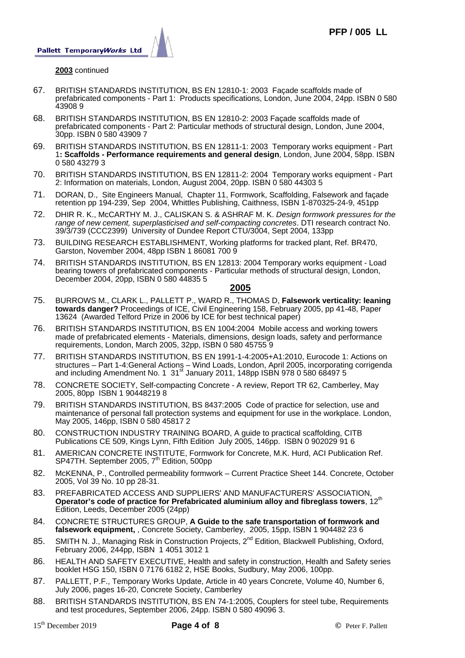

#### **2003** continued

- 67. BRITISH STANDARDS INSTITUTION, BS EN 12810-1: 2003 Façade scaffolds made of prefabricated components - Part 1: Products specifications, London, June 2004, 24pp. ISBN 0 580 43908 9
- 68. BRITISH STANDARDS INSTITUTION, BS EN 12810-2: 2003 Façade scaffolds made of prefabricated components - Part 2: Particular methods of structural design, London, June 2004, 30pp. ISBN 0 580 43909 7
- 69. BRITISH STANDARDS INSTITUTION, BS EN 12811-1: 2003 Temporary works equipment Part 1**: Scaffolds - Performance requirements and general design**, London, June 2004, 58pp. ISBN 0 580 43279 3
- 70. BRITISH STANDARDS INSTITUTION, BS EN 12811-2: 2004 Temporary works equipment Part 2: Information on materials, London, August 2004, 20pp. ISBN 0 580 44303 5
- 71. DORAN, D., Site Engineers Manual, Chapter 11, Formwork, Scaffolding, Falsework and façade retention pp 194-239, Sep 2004, Whittles Publishing, Caithness, ISBN 1-870325-24-9, 451pp
- 72. DHIR R. K., McCARTHY M. J., CALISKAN S. & ASHRAF M. K. *Design formwork pressures for the range of new cement, superplasticised and self-compacting concretes*. DTI research contract No. 39/3/739 (CCC2399) University of Dundee Report CTU/3004, Sept 2004, 133pp
- 73. BUILDING RESEARCH ESTABLISHMENT, Working platforms for tracked plant, Ref. BR470, Garston, November 2004, 48pp ISBN 1 86081 700 9
- 74. BRITISH STANDARDS INSTITUTION, BS EN 12813: 2004 Temporary works equipment Load bearing towers of prefabricated components - Particular methods of structural design, London, December 2004, 20pp, ISBN 0 580 44835 5

- 75. BURROWS M., CLARK L., PALLETT P., WARD R., THOMAS D, **Falsework verticality: leaning towards danger?** Proceedings of ICE, Civil Engineering 158, February 2005, pp 41-48, Paper 13624 (Awarded Telford Prize in 2006 by ICE for best technical paper)
- 76. BRITISH STANDARDS INSTITUTION, BS EN 1004:2004 Mobile access and working towers made of prefabricated elements - Materials, dimensions, design loads, safety and performance requirements, London, March 2005, 32pp, ISBN 0 580 45755 9
- 77. BRITISH STANDARDS INSTITUTION, BS EN 1991-1-4:2005+A1:2010, Eurocode 1: Actions on structures – Part 1-4:General Actions – Wind Loads, London, April 2005, incorporating corrigenda and including Amendment No. 1  $31<sup>st</sup>$  January 2011, 148pp ISBN 978 0 580 68497 5
- 78. CONCRETE SOCIETY, Self-compacting Concrete A review, Report TR 62, Camberley, May 2005, 80pp ISBN 1 90448219 8
- 79. BRITISH STANDARDS INSTITUTION, BS 8437:2005 Code of practice for selection, use and maintenance of personal fall protection systems and equipment for use in the workplace. London, May 2005, 146pp, ISBN 0 580 45817 2
- 80. CONSTRUCTION INDUSTRY TRAINING BOARD, A guide to practical scaffolding, CITB Publications CE 509, Kings Lynn, Fifth Edition July 2005, 146pp. ISBN 0 902029 91 6
- 81. AMERICAN CONCRETE INSTITUTE, Formwork for Concrete, M.K. Hurd, ACI Publication Ref. SP47TH. September 2005, 7<sup>th</sup> Edition, 500pp
- 82. McKENNA, P., Controlled permeability formwork Current Practice Sheet 144. Concrete, October 2005, Vol 39 No. 10 pp 28-31.
- 83. PREFABRICATED ACCESS AND SUPPLIERS' AND MANUFACTURERS' ASSOCIATION, Operator's code of practice for Prefabricated aluminium alloy and fibreglass towers, 12<sup>th</sup> Edition, Leeds, December 2005 (24pp)
- 84. CONCRETE STRUCTURES GROUP, **A Guide to the safe transportation of formwork and falsework equipment,** , Concrete Society, Camberley, 2005, 15pp, ISBN 1 904482 23 6
- 85. SMITH N. J., Managing Risk in Construction Projects, 2<sup>nd</sup> Edition, Blackwell Publishing, Oxford, February 2006, 244pp, ISBN 1 4051 3012 1
- 86. HEALTH AND SAFETY EXECUTIVE, Health and safety in construction, Health and Safety series booklet HSG 150, ISBN 0 7176 6182 2, HSE Books, Sudbury, May 2006, 100pp.
- 87. PALLETT, P.F., Temporary Works Update, Article in 40 years Concrete, Volume 40, Number 6, July 2006, pages 16-20, Concrete Society, Camberley
- 88. BRITISH STANDARDS INSTITUTION, BS EN 74-1:2005, Couplers for steel tube, Requirements and test procedures, September 2006, 24pp. ISBN 0 580 49096 3.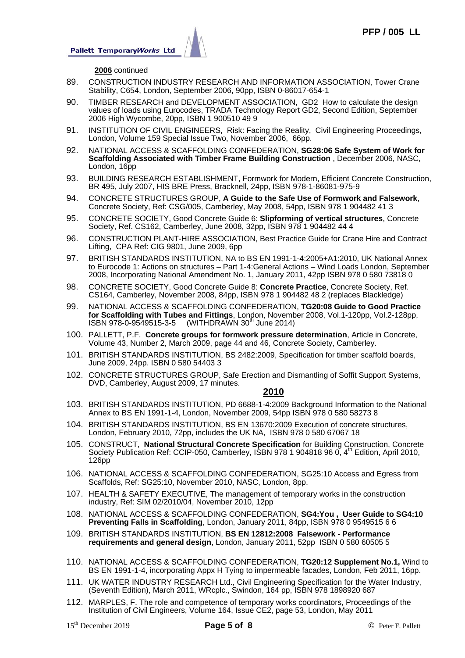

#### **2006** continued

- 89. CONSTRUCTION INDUSTRY RESEARCH AND INFORMATION ASSOCIATION, Tower Crane Stability, C654, London, September 2006, 90pp, ISBN 0-86017-654-1
- 90. TIMBER RESEARCH and DEVELOPMENT ASSOCIATION, GD2 How to calculate the design values of loads using Eurocodes, TRADA Technology Report GD2, Second Edition, September 2006 High Wycombe, 20pp, ISBN 1 900510 49 9
- 91. INSTITUTION OF CIVIL ENGINEERS, Risk: Facing the Reality, Civil Engineering Proceedings, London, Volume 159 Special Issue Two, November 2006, 66pp.
- 92. NATIONAL ACCESS & SCAFFOLDING CONFEDERATION, **SG28:06 Safe System of Work for Scaffolding Associated with Timber Frame Building Construction** , December 2006, NASC, London, 16pp
- 93. BUILDING RESEARCH ESTABLISHMENT, Formwork for Modern, Efficient Concrete Construction, BR 495, July 2007, HIS BRE Press, Bracknell, 24pp, ISBN 978-1-86081-975-9
- 94. CONCRETE STRUCTURES GROUP, **A Guide to the Safe Use of Formwork and Falsework**, Concrete Society, Ref: CSG/005, Camberley, May 2008, 54pp, ISBN 978 1 904482 41 3
- 95. CONCRETE SOCIETY, Good Concrete Guide 6: **Slipforming of vertical structures**, Concrete Society, Ref. CS162, Camberley, June 2008, 32pp, ISBN 978 1 904482 44 4
- 96. CONSTRUCTION PLANT-HIRE ASSOCIATION, Best Practice Guide for Crane Hire and Contract Lifting, CPA Ref: CIG 9801, June 2009, 6pp
- 97. BRITISH STANDARDS INSTITUTION, NA to BS EN 1991-1-4:2005+A1:2010, UK National Annex to Eurocode 1: Actions on structures – Part 1-4:General Actions – Wind Loads London, September 2008, Incorporating National Amendment No. 1, January 2011, 42pp ISBN 978 0 580 73818 0
- 98. CONCRETE SOCIETY, Good Concrete Guide 8: **Concrete Practice**, Concrete Society, Ref. CS164, Camberley, November 2008, 84pp, ISBN 978 1 904482 48 2 (replaces Blackledge)
- 99. NATIONAL ACCESS & SCAFFOLDING CONFEDERATION, **TG20:08 Guide to Good Practice for Scaffolding with Tubes and Fittings**, London, November 2008, Vol.1-120pp, Vol.2-128pp, ISBN 978-0-9549515-3-5 (WITHDRAWN 30<sup>th</sup> June 2014)
- 100. PALLETT, P.F. **Concrete groups for formwork pressure determination**, Article in Concrete, Volume 43, Number 2, March 2009, page 44 and 46, Concrete Society, Camberley.
- 101. BRITISH STANDARDS INSTITUTION, BS 2482:2009, Specification for timber scaffold boards, June 2009, 24pp. ISBN 0 580 54403 3
- 102. CONCRETE STRUCTURES GROUP, Safe Erection and Dismantling of Soffit Support Systems, DVD, Camberley, August 2009, 17 minutes.

- 103. BRITISH STANDARDS INSTITUTION, PD 6688-1-4:2009 Background Information to the National Annex to BS EN 1991-1-4, London, November 2009, 54pp ISBN 978 0 580 58273 8
- 104. BRITISH STANDARDS INSTITUTION, BS EN 13670:2009 Execution of concrete structures, London, February 2010, 72pp, includes the UK NA, ISBN 978 0 580 67067 18
- 105. CONSTRUCT, **National Structural Concrete Specification** for Building Construction, Concrete Society Publication Ref: CCIP-050, Camberley, ISBN 978 1 904818 96 0, 4<sup>th</sup> Edition, April 2010, 126pp
- 106. NATIONAL ACCESS & SCAFFOLDING CONFEDERATION, SG25:10 Access and Egress from Scaffolds, Ref: SG25:10, November 2010, NASC, London, 8pp.
- 107. HEALTH & SAFETY EXECUTIVE, The management of temporary works in the construction industry, Ref: SIM 02/2010/04, November 2010, 12pp
- 108. NATIONAL ACCESS & SCAFFOLDING CONFEDERATION, **SG4:You , User Guide to SG4:10 Preventing Falls in Scaffolding**, London, January 2011, 84pp, ISBN 978 0 9549515 6 6
- 109. BRITISH STANDARDS INSTITUTION, **BS EN 12812:2008 Falsework Performance requirements and general design**, London, January 2011, 52pp ISBN 0 580 60505 5
- 110. NATIONAL ACCESS & SCAFFOLDING CONFEDERATION, **TG20:12 Supplement No.1,** Wind to BS EN 1991-1-4, incorporating Appx H Tying to impermeable facades, London, Feb 2011, 16pp.
- 111. UK WATER INDUSTRY RESEARCH Ltd., Civil Engineering Specification for the Water Industry, (Seventh Edition), March 2011, WRcplc., Swindon, 164 pp, ISBN 978 1898920 687
- 112. MARPLES, F. The role and competence of temporary works coordinators, Proceedings of the Institution of Civil Engineers, Volume 164, Issue CE2, page 53, London, May 2011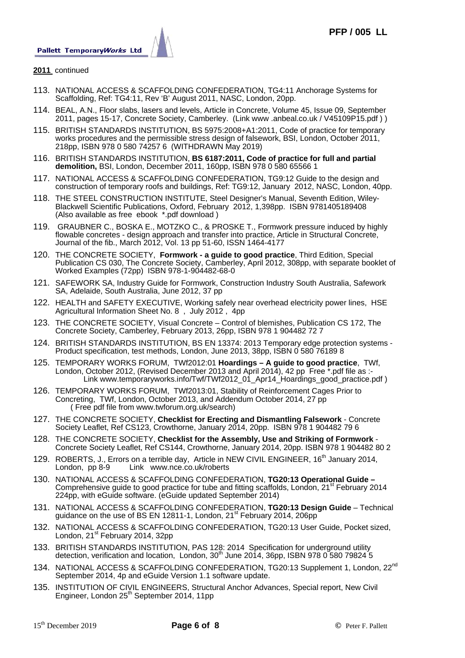

#### **2011** continued

- 113. NATIONAL ACCESS & SCAFFOLDING CONFEDERATION, TG4:11 Anchorage Systems for Scaffolding, Ref: TG4:11, Rev 'B' August 2011, NASC, London, 20pp.
- 114. BEAL, A.N., Floor slabs, lasers and levels, Article in Concrete, Volume 45, Issue 09, September 2011, pages 15-17, Concrete Society, Camberley. (Link www .anbeal.co.uk / V45109P15.pdf ) )
- 115. BRITISH STANDARDS INSTITUTION, BS 5975:2008+A1:2011, Code of practice for temporary works procedures and the permissible stress design of falsework, BSI, London, October 2011, 218pp, ISBN 978 0 580 74257 6 (WITHDRAWN May 2019)
- 116. BRITISH STANDARDS INSTITUTION, **BS 6187:2011, Code of practice for full and partial demolition,** BSI, London, December 2011, 160pp, ISBN 978 0 580 65566 1
- 117. NATIONAL ACCESS & SCAFFOLDING CONFEDERATION, TG9:12 Guide to the design and construction of temporary roofs and buildings, Ref: TG9:12, January 2012, NASC, London, 40pp.
- 118. THE STEEL CONSTRUCTION INSTITUTE, Steel Designer's Manual, Seventh Edition, Wiley-Blackwell Scientific Publications, Oxford, February 2012, 1,398pp. ISBN 9781405189408 (Also available as free ebook \*.pdf download )
- 119. GRAUBNER C., BOSKA E., MOTZKO C., & PROSKE T., Formwork pressure induced by highly flowable concretes - design approach and transfer into practice, Article in Structural Concrete, Journal of the fib., March 2012, Vol. 13 pp 51-60, ISSN 1464-4177
- 120. THE CONCRETE SOCIETY, **Formwork a guide to good practice**, Third Edition, Special Publication CS 030, The Concrete Society, Camberley, April 2012, 308pp, with separate booklet of Worked Examples (72pp) ISBN 978-1-904482-68-0
- 121. SAFEWORK SA, Industry Guide for Formwork, Construction Industry South Australia, Safework SA, Adelaide, South Australia, June 2012, 37 pp
- 122. HEALTH and SAFETY EXECUTIVE, Working safely near overhead electricity power lines, HSE Agricultural Information Sheet No. 8 , July 2012 , 4pp
- 123. THE CONCRETE SOCIETY, Visual Concrete Control of blemishes, Publication CS 172, The Concrete Society, Camberley, February 2013, 26pp, ISBN 978 1 904482 72 7
- 124. BRITISH STANDARDS INSTITUTION, BS EN 13374: 2013 Temporary edge protection systems Product specification, test methods, London, June 2013, 38pp, ISBN 0 580 76189 8
- 125. TEMPORARY WORKS FORUM, TWf2012:01 **Hoardings A guide to good practice**, TWf, London, October 2012, (Revised December 2013 and April 2014), 42 pp Free \*.pdf file as :-Link www.temporaryworks.info/Twf/TWf2012\_01\_Apr14\_Hoardings\_good\_practice.pdf )
- 126. TEMPORARY WORKS FORUM, TWf2013:01, Stability of Reinforcement Cages Prior to Concreting, TWf, London, October 2013, and Addendum October 2014, 27 pp ( Free pdf file from www.twforum.org.uk/search)
- 127. THE CONCRETE SOCIETY, **Checklist for Erecting and Dismantling Falsework** Concrete Society Leaflet, Ref CS123, Crowthorne, January 2014, 20pp. ISBN 978 1 904482 79 6
- 128. THE CONCRETE SOCIETY, **Checklist for the Assembly, Use and Striking of Formwork** Concrete Society Leaflet, Ref CS144, Crowthorne, January 2014, 20pp. ISBN 978 1 904482 80 2
- 129. ROBERTS, J., Errors on a terrible day, Article in NEW CIVIL ENGINEER, 16<sup>th</sup> January 2014,<br>London. pp 8-9 Link www.nce.co.uk/roberts Link www.nce.co.uk/roberts
- 130. NATIONAL ACCESS & SCAFFOLDING CONFEDERATION, **TG20:13 Operational Guide**  Comprehensive guide to good practice for tube and fitting scaffolds, London, 21<sup>st</sup> February 2014 224pp, with eGuide software. (eGuide updated September 2014)
- 131. NATIONAL ACCESS & SCAFFOLDING CONFEDERATION, **TG20:13 Design Guide**  Technical guidance on the use of BS EN 12811-1, London, 21<sup>st</sup> February 2014, 206pp
- 132. NATIONAL ACCESS & SCAFFOLDING CONFEDERATION, TG20:13 User Guide, Pocket sized, London, 21<sup>st</sup> February 2014, 32pp
- 133. BRITISH STANDARDS INSTITUTION, PAS 128: 2014 Specification for underground utility detection, verification and location, London,  $30<sup>th</sup>$  June 2014, 36pp, ISBN 978 0 580 79824 5
- 134. NATIONAL ACCESS & SCAFFOLDING CONFEDERATION, TG20:13 Supplement 1, London, 22<sup>nd</sup> September 2014, 4p and eGuide Version 1.1 software update.
- 135. INSTITUTION OF CIVIL ENGINEERS, Structural Anchor Advances, Special report, New Civil Engineer, London 25<sup>th</sup> September 2014, 11pp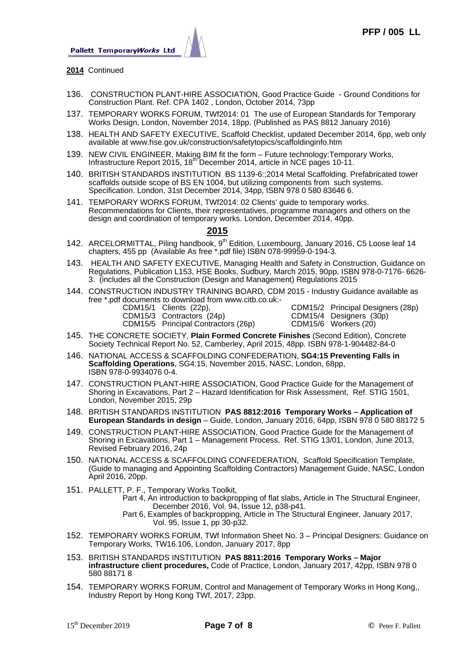

- **2014** Continued
- 136. CONSTRUCTION PLANT-HIRE ASSOCIATION, Good Practice Guide Ground Conditions for Construction Plant. Ref. CPA 1402 , London, October 2014, 73pp
- 137. TEMPORARY WORKS FORUM, TWf2014: 01 The use of European Standards for Temporary Works Design, London, November 2014, 18pp. (Published as PAS 8812 January 2016)
- 138. HEALTH AND SAFETY EXECUTIVE, Scaffold Checklist, updated December 2014, 6pp, web only available at www.hse.gov.uk/construction/safetytopics/scaffoldinginfo.htm
- 139. NEW CIVIL ENGINEER, Making BIM fit the form Future technology:Temporary Works, Infrastructure Report 2015,  $18<sup>th</sup>$  December 2014, article in NCE pages 10-11.
- 140. BRITISH STANDARDS INSTITUTION BS 1139-6:;2014 Metal Scaffolding. Prefabricated tower scaffolds outside scope of BS EN 1004, but utilizing components from such systems. Specification. London, 31st December 2014, 34pp, ISBN 978 0 580 83646 6.
- 141. TEMPORARY WORKS FORUM, TWf2014: 02 Clients' guide to temporary works. Recommendations for Clients, their representatives, programme managers and others on the design and coordination of temporary works. London, December 2014, 40pp.

# **2015**

- 142. ARCELORMITTAL, Piling handbook, 9<sup>th</sup> Edition, Luxembourg, January 2016, C5 Loose leaf 14 chapters, 455 pp (Available As free \*.pdf file) ISBN 078-99959-0-194-3.
- 143. HEALTH AND SAFETY EXECUTIVE, Managing Health and Safety in Construction, Guidance on Regulations, Publication L153, HSE Books, Sudbury, March 2015, 90pp, ISBN 978-0-7176- 6626- 3. (includes all the Construction (Design and Management) Regulations 2015
- 144. CONSTRUCTION INDUSTRY TRAINING BOARD, CDM 2015 Industry Guidance available as free \*.pdf documents to download from www.citb.co.uk:-

| CDM15/1 Clients (22p),    |
|---------------------------|
| CDM15/3 Contractors (24p) |

CDM15/2 Principal Designers (28p) CDM15/4 Designers (30p) CDM15/5 Principal Contractors (26p) CDM15/6 Workers (20)

- 145. THE CONCRETE SOCIETY, **Plain Formed Concrete Finishes** (Second Edition), Concrete Society Technical Report No. 52, Camberley, April 2015, 48pp. ISBN 978-1-904482-84-0
- 146. NATIONAL ACCESS & SCAFFOLDING CONFEDERATION, **SG4:15 Preventing Falls in Scaffolding Operations**, SG4:15, November 2015, NASC, London, 68pp, ISBN 978-0-9934076 0-4.
- 147. CONSTRUCTION PLANT-HIRE ASSOCIATION, Good Practice Guide for the Management of Shoring in Excavations, Part 2 – Hazard Identification for Risk Assessment, Ref. STIG 1501, London, November 2015, 29p
- 148. BRITISH STANDARDS INSTITUTION **PAS 8812:2016 Temporary Works Application of European Standards in design** – Guide, London, January 2016, 64pp, ISBN 978 0 580 88172 5
- 149. CONSTRUCTION PLANT-HIRE ASSOCIATION, Good Practice Guide for the Management of Shoring in Excavations, Part 1 – Management Process, Ref. STIG 13/01, London, June 2013, Revised February 2016, 24p
- 150. NATIONAL ACCESS & SCAFFOLDING CONFEDERATION, Scaffold Specification Template, (Guide to managing and Appointing Scaffolding Contractors) Management Guide, NASC, London April 2016, 20pp.
- 151. PALLETT, P. F., Temporary Works Toolkit,

 Part 4, An introduction to backpropping of flat slabs, Article in The Structural Engineer, December 2016, Vol. 94, Issue 12, p38-p41.

- Part 6, Examples of backpropping, Article in The Structural Engineer, January 2017, Vol. 95, Issue 1, pp 30-p32.
- 152. TEMPORARY WORKS FORUM, TWf Information Sheet No. 3 Principal Designers: Guidance on Temporary Works, TW16.106, London, January 2017, 8pp
- 153. BRITISH STANDARDS INSTITUTION **PAS 8811:2016 Temporary Works Major infrastructure client procedures,** Code of Practice, London, January 2017, 42pp, ISBN 978 0 580 88171 8
- 154. TEMPORARY WORKS FORUM, Control and Management of Temporary Works in Hong Kong,, Industry Report by Hong Kong TWf, 2017, 23pp.